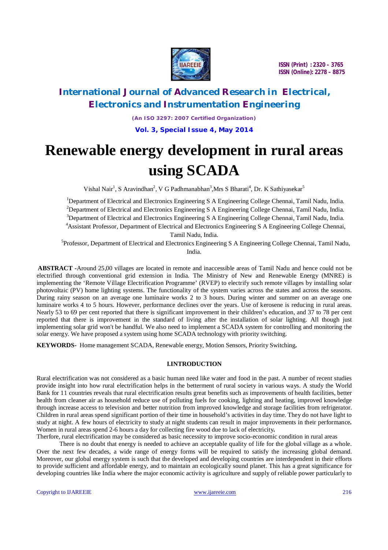

# **International Journal of Advanced Research in Electrical, Electronics and Instrumentation Engineering**

*(An ISO 3297: 2007 Certified Organization)*

**Vol. 3, Special Issue 4, May 2014**

# **Renewable energy development in rural areas using SCADA**

Vishal Nair<sup>1</sup>, S Aravindhan<sup>2</sup>, V G Padhmanabhan<sup>3</sup>, Mrs S Bharati<sup>4</sup>, Dr. K Sathiyasekar<sup>5</sup>

<sup>1</sup>Department of Electrical and Electronics Engineering S A Engineering College Chennai, Tamil Nadu, India. <sup>2</sup>Department of Electrical and Electronics Engineering S A Engineering College Chennai, Tamil Nadu, India. <sup>3</sup>Department of Electrical and Electronics Engineering S A Engineering College Chennai, Tamil Nadu, India. <sup>4</sup>Assistant Professor, Department of Electrical and Electronics Engineering S A Engineering College Chennai, Tamil Nadu, India.

<sup>5</sup>Professor, Department of Electrical and Electronics Engineering S A Engineering College Chennai, Tamil Nadu, India.

**ABSTRACT -**Around 25,00 villages are located in remote and inaccessible areas of Tamil Nadu and hence could not be electrified through conventional grid extension in India. The Ministry of New and Renewable Energy (MNRE) is implementing the 'Remote Village Electrification Programme' (RVEP) to electrify such remote villages by installing solar photovoltaic (PV) home lighting systems. The functionality of the system varies across the states and across the seasons. During rainy season on an average one luminaire works 2 to 3 hours. During winter and summer on an average one luminaire works 4 to 5 hours. However, performance declines over the years. Use of kerosene is reducing in rural areas. Nearly 53 to 69 per cent reported that there is significant improvement in their children's education, and 37 to 78 per cent reported that there is improvement in the standard of living after the installation of solar lighting. All though just implementing solar grid won't be handful. We also need to implement a SCADA system for controlling and monitoring the solar energy. We have proposed a system using home SCADA technology with priority switching.

**KEYWORDS-** Home management SCADA, Renewable energy, Motion Sensors, Priority Switching**.** 

# **I.INTRODUCTION**

Rural electrification was not considered as a basic human need like water and food in the past. A number of recent studies provide insight into how rural electrification helps in the betterment of rural society in various ways. A study the World Bank for 11 countries reveals that rural electrification results great benefits such as improvements of health facilities, better health from cleaner air as household reduce use of polluting fuels for cooking, lighting and heating, improved knowledge through increase access to television and better nutrition from improved knowledge and storage facilities from refrigerator. Children in rural areas spend significant portion of their time in household's activities in day time. They do not have light to study at night. A few hours of electricity to study at night students can result in major improvements in their performance**.**  Women in rural areas spend 2-6 hours a day for collecting fire wood due to lack of electricity**.**

Therfore, rural electrification may be considered as basic necessity to improve socio-economic condition in rural areas

There is no doubt that energy is needed to achieve an acceptable quality of life for the global village as a whole. Over the next few decades, a wide range of energy forms will be required to satisfy the increasing global demand. Moreover, our global energy system is such that the developed and developing countries are interdependent in their efforts to provide sufficient and affordable energy, and to maintain an ecologically sound planet. This has a great significance for developing countries like India where the major economic activity is agriculture and supply of reliable power particularly to

Copyright to IJAREEIE www.ijareeie.com 216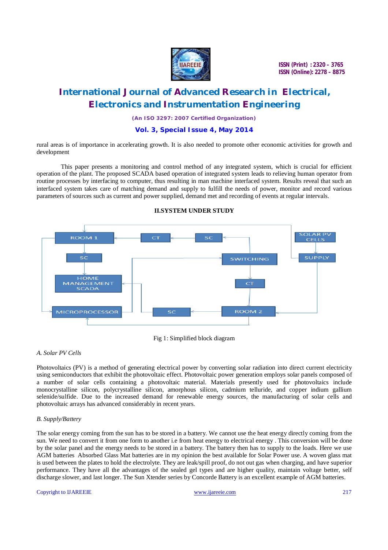

# **International Journal of Advanced Research in Electrical, Electronics and Instrumentation Engineering**

*(An ISO 3297: 2007 Certified Organization)*

## **Vol. 3, Special Issue 4, May 2014**

rural areas is of importance in accelerating growth. It is also needed to promote other economic activities for growth and development

This paper presents a monitoring and control method of any integrated system, which is crucial for efficient operation of the plant. The proposed SCADA based operation of integrated system leads to relieving human operator from routine processes by interfacing to computer, thus resulting in man machine interfaced system. Results reveal that such an interfaced system takes care of matching demand and supply to fulfill the needs of power, monitor and record various parameters of sources such as current and power supplied, demand met and recording of events at regular intervals.



### **II.SYSTEM UNDER STUDY**

Fig 1: Simplified block diagram

### *A. Solar PV Cells*

Photovoltaics (PV) is a method of generating electrical power by converting solar radiation into direct current electricity using semiconductors that exhibit the photovoltaic effect. Photovoltaic power generation employs solar panels composed of a number of solar cells containing a photovoltaic material. Materials presently used for photovoltaics include monocrystalline silicon, polycrystalline silicon, amorphous silicon, cadmium telluride, and copper indium gallium selenide/sulfide. Due to the increased demand for renewable energy sources, the manufacturing of solar cells and photovoltaic arrays has advanced considerably in recent years.

#### *B. Supply/Battery*

The solar energy coming from the sun has to be stored in a battery. We cannot use the heat energy directly coming from the sun. We need to convert it from one form to another i.e from heat energy to electrical energy . This conversion will be done by the solar panel and the energy needs to be stored in a battery. The battery then has to supply to the loads. Here we use AGM batteries Absorbed Glass Mat batteries are in my opinion the best available for Solar Power use. A woven glass mat is used between the plates to hold the electrolyte. They are leak/spill proof, do not out gas when charging, and have superior performance. They have all the advantages of the sealed gel types and are higher quality, maintain voltage better, self discharge slower, and last longer. The Sun Xtender series by Concorde Battery is an excellent example of AGM batteries.

#### Copyright to IJAREEIE www.ijareeie.com 217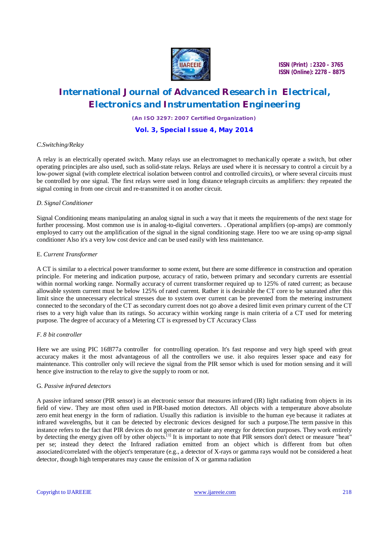

# **International Journal of Advanced Research in Electrical, Electronics and Instrumentation Engineering**

*(An ISO 3297: 2007 Certified Organization)*

### **Vol. 3, Special Issue 4, May 2014**

### *C.Switching/Relay*

A relay is an electrically operated switch. Many relays use an electromagnet to mechanically operate a switch, but other operating principles are also used, such as solid-state relays. Relays are used where it is necessary to control a circuit by a low-power signal (with complete electrical isolation between control and controlled circuits), or where several circuits must be controlled by one signal. The first relays were used in long distance telegraph circuits as amplifiers: they repeated the signal coming in from one circuit and re-transmitted it on another circuit.

### *D. Signal Conditioner*

Signal Conditioning means manipulating an analog signal in such a way that it meets the requirements of the next stage for further processing. Most common use is in analog-to-digital converters. . Operational amplifiers (op-amps) are commonly employed to carry out the amplification of the signal in the signal conditioning stage. Here too we are using op-amp signal conditioner Also it's a very low cost device and can be used easily with less maintenance.

### E. *Current Transformer*

A CT is similar to a electrical power transformer to some extent, but there are some difference in construction and operation principle. For metering and indication purpose, accuracy of ratio, between primary and secondary currents are essential within normal working range. Normally accuracy of current transformer required up to 125% of rated current; as because allowable system current must be below 125% of rated current. Rather it is desirable the CT core to be saturated after this limit since the unnecessary electrical stresses due to system over current can be prevented from the metering instrument connected to the secondary of the CT as secondary current does not go above a desired limit even primary current of the CT rises to a very high value than its ratings. So accuracy within working range is main criteria of a CT used for metering purpose. The degree of accuracy of a Metering CT is expressed by CT Accuracy Class

#### *F. 8 bit controller*

Here we are using PIC 16f877a controller for controlling operation. It's fast response and very high speed with great accuracy makes it the most advantageous of all the controllers we use. it also requires lesser space and easy for maintenance. This controller only will recieve the signal from the PIR sensor which is used for motion sensing and it will hence give instruction to the relay to give the supply to room or not.

### G. *Passive infrared detectors*

A passive infrared sensor (PIR sensor) is an electronic sensor that measures infrared (IR) light radiating from objects in its field of view. They are most often used in PIR-based motion detectors. All objects with a temperature above absolute zero emit heat energy in the form of radiation. Usually this radiation is invisible to the human eye because it radiates at infrared wavelengths, but it can be detected by electronic devices designed for such a purpose.The term passive in this instance refers to the fact that PIR devices do not generate or radiate any energy for detection purposes. They work entirely by detecting the energy given off by other objects.<sup>[1]</sup> It is important to note that PIR sensors don't detect or measure "heat" per se; instead they detect the Infrared radiation emitted from an object which is different from but often associated/correlated with the object's temperature (e.g., a detector of X-rays or gamma rays would not be considered a heat detector, though high temperatures may cause the emission of X or gamma radiation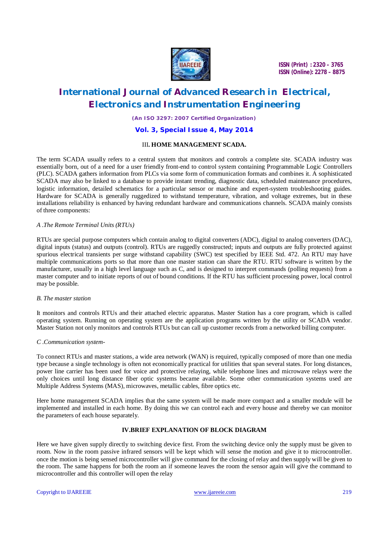

# **International Journal of Advanced Research in Electrical, Electronics and Instrumentation Engineering**

*(An ISO 3297: 2007 Certified Organization)*

#### **Vol. 3, Special Issue 4, May 2014**

### III**. HOME MANAGEMENT SCADA.**

The term SCADA usually refers to a central system that monitors and controls a complete site. SCADA industry was essentially born, out of a need for a user friendly front-end to control system containing Programmable Logic Controllers (PLC). SCADA gathers information from PLCs via some form of communication formats and combines it. A sophisticated SCADA may also be linked to a database to provide instant trending, diagnostic data, scheduled maintenance procedures, logistic information, detailed schematics for a particular sensor or machine and expert-system troubleshooting guides. Hardware for SCADA is generally ruggedized to withstand temperature, vibration, and voltage extremes, but in these installations reliability is enhanced by having redundant hardware and communications channels. SCADA mainly consists of three components:

### *A .The Remote Terminal Units (RTUs)*

RTUs are special purpose computers which contain analog to digital converters (ADC), digital to analog converters (DAC), digital inputs (status) and outputs (control). RTUs are ruggedly constructed; inputs and outputs are fully protected against spurious electrical transients per surge withstand capability (SWC) test specified by IEEE Std. 472. An RTU may have multiple communications ports so that more than one master station can share the RTU. RTU software is written by the manufacturer, usually in a high level language such as C, and is designed to interpret commands (polling requests) from a master computer and to initiate reports of out of bound conditions. If the RTU has sufficient processing power, local control may be possible.

#### *B. The master station*

It monitors and controls RTUs and their attached electric apparatus. Master Station has a core program, which is called operating system. Running on operating system are the application programs written by the utility or SCADA vendor. Master Station not only monitors and controls RTUs but can call up customer records from a networked billing computer.

#### *C .Communication system-*

To connect RTUs and master stations, a wide area network (WAN) is required, typically composed of more than one media type because a single technology is often not economically practical for utilities that span several states. For long distances, power line carrier has been used for voice and protective relaying, while telephone lines and microwave relays were the only choices until long distance fiber optic systems became available. Some other communication systems used are Multiple Address Systems (MAS), microwaves, metallic cables, fibre optics etc.

Here home management SCADA implies that the same system will be made more compact and a smaller module will be implemented and installed in each home. By doing this we can control each and every house and thereby we can monitor the parameters of each house separately.

### **IV.BRIEF EXPLANATION OF BLOCK DIAGRAM**

Here we have given supply directly to switching device first. From the switching device only the supply must be given to room. Now in the room passive infrared sensors will be kept which will sense the motion and give it to microcontroller. once the motion is being sensed microcontroller will give command for the closing of relay and then supply will be given to the room. The same happens for both the room an if someone leaves the room the sensor again will give the command to microcontroller and this controller will open the relay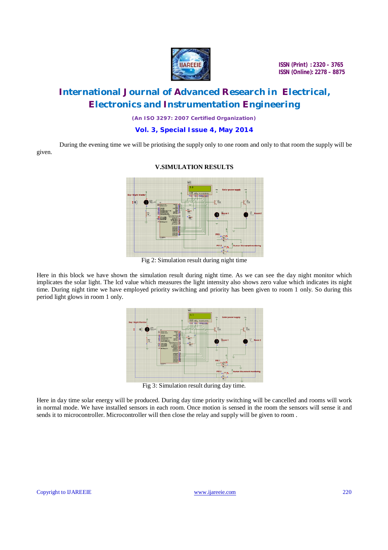

# **International Journal of Advanced Research in Electrical, Electronics and Instrumentation Engineering**

*(An ISO 3297: 2007 Certified Organization)*

**Vol. 3, Special Issue 4, May 2014**

During the evening time we will be priotising the supply only to one room and only to that room the supply will be given.



#### **V.SIMULATION RESULTS**

Fig 2: Simulation result during night time

Here in this block we have shown the simulation result during night time. As we can see the day night monitor which implicates the solar light. The lcd value which measures the light intensity also shows zero value which indicates its night time. During night time we have employed priority switching and priority has been given to room 1 only. So during this period light glows in room 1 only.



Fig 3: Simulation result during day time.

Here in day time solar energy will be produced. During day time priority switching will be cancelled and rooms will work in normal mode. We have installed sensors in each room. Once motion is sensed in the room the sensors will sense it and sends it to microcontroller. Microcontroller will then close the relay and supply will be given to room .